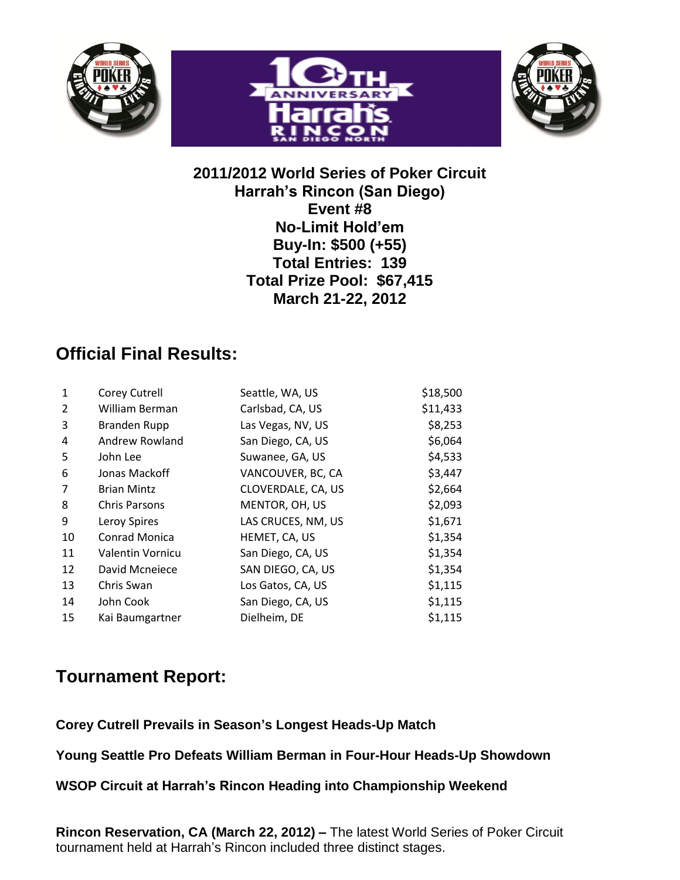





## **2011/2012 World Series of Poker Circuit Harrah's Rincon (San Diego) Event #8 No-Limit Hold'em Buy-In: \$500 (+55) Total Entries: 139 Total Prize Pool: \$67,415 March 21-22, 2012**

## **Official Final Results:**

|                      | Seattle, WA, US      | \$18,500 |
|----------------------|----------------------|----------|
| William Berman       | Carlsbad, CA, US     | \$11,433 |
| <b>Branden Rupp</b>  | Las Vegas, NV, US    | \$8,253  |
| Andrew Rowland       | San Diego, CA, US    | \$6,064  |
| John Lee             | Suwanee, GA, US      | \$4,533  |
| Jonas Mackoff        | VANCOUVER, BC, CA    | \$3,447  |
| <b>Brian Mintz</b>   | CLOVERDALE, CA, US   | \$2,664  |
| <b>Chris Parsons</b> | MENTOR, OH, US       | \$2,093  |
| Leroy Spires         | LAS CRUCES, NM, US   | \$1,671  |
| Conrad Monica        | HEMET, CA, US        | \$1,354  |
| Valentin Vornicu     | San Diego, CA, US    | \$1,354  |
| David Mcneiece       | SAN DIEGO, CA, US    | \$1,354  |
| Chris Swan           | Los Gatos, CA, US    | \$1,115  |
| John Cook            | San Diego, CA, US    | \$1,115  |
| Kai Baumgartner      | Dielheim, DE         | \$1,115  |
|                      | <b>Corey Cutrell</b> |          |

## **Tournament Report:**

**Corey Cutrell Prevails in Season's Longest Heads-Up Match**

**Young Seattle Pro Defeats William Berman in Four-Hour Heads-Up Showdown**

**WSOP Circuit at Harrah's Rincon Heading into Championship Weekend**

**Rincon Reservation, CA (March 22, 2012) –** The latest World Series of Poker Circuit tournament held at Harrah's Rincon included three distinct stages.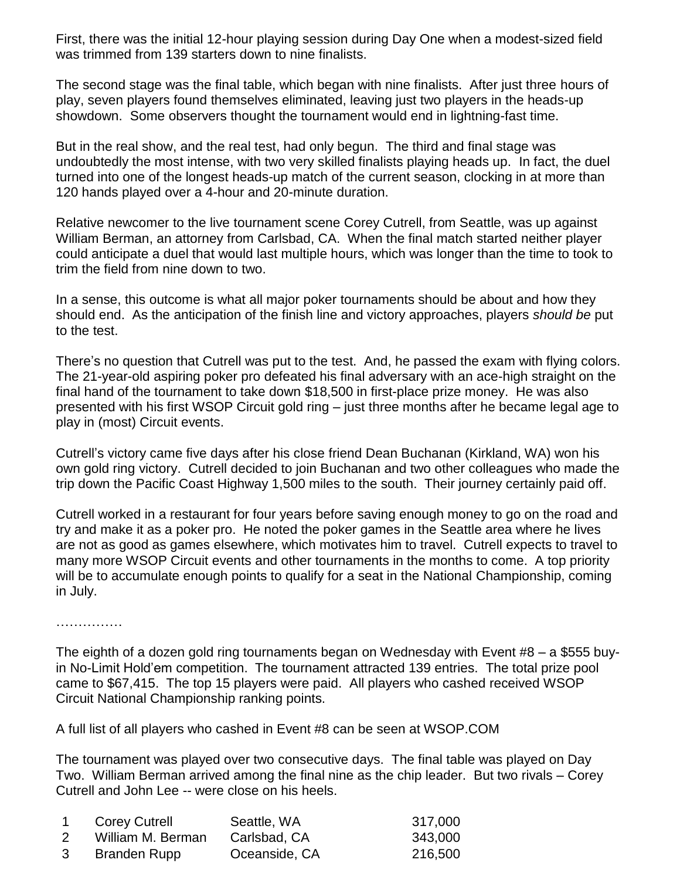First, there was the initial 12-hour playing session during Day One when a modest-sized field was trimmed from 139 starters down to nine finalists.

The second stage was the final table, which began with nine finalists. After just three hours of play, seven players found themselves eliminated, leaving just two players in the heads-up showdown. Some observers thought the tournament would end in lightning-fast time.

But in the real show, and the real test, had only begun. The third and final stage was undoubtedly the most intense, with two very skilled finalists playing heads up. In fact, the duel turned into one of the longest heads-up match of the current season, clocking in at more than 120 hands played over a 4-hour and 20-minute duration.

Relative newcomer to the live tournament scene Corey Cutrell, from Seattle, was up against William Berman, an attorney from Carlsbad, CA. When the final match started neither player could anticipate a duel that would last multiple hours, which was longer than the time to took to trim the field from nine down to two.

In a sense, this outcome is what all major poker tournaments should be about and how they should end. As the anticipation of the finish line and victory approaches, players *should be* put to the test.

There's no question that Cutrell was put to the test. And, he passed the exam with flying colors. The 21-year-old aspiring poker pro defeated his final adversary with an ace-high straight on the final hand of the tournament to take down \$18,500 in first-place prize money. He was also presented with his first WSOP Circuit gold ring – just three months after he became legal age to play in (most) Circuit events.

Cutrell's victory came five days after his close friend Dean Buchanan (Kirkland, WA) won his own gold ring victory. Cutrell decided to join Buchanan and two other colleagues who made the trip down the Pacific Coast Highway 1,500 miles to the south. Their journey certainly paid off.

Cutrell worked in a restaurant for four years before saving enough money to go on the road and try and make it as a poker pro. He noted the poker games in the Seattle area where he lives are not as good as games elsewhere, which motivates him to travel. Cutrell expects to travel to many more WSOP Circuit events and other tournaments in the months to come. A top priority will be to accumulate enough points to qualify for a seat in the National Championship, coming in July.

……………

The eighth of a dozen gold ring tournaments began on Wednesday with Event #8 – a \$555 buyin No-Limit Hold'em competition. The tournament attracted 139 entries. The total prize pool came to \$67,415. The top 15 players were paid. All players who cashed received WSOP Circuit National Championship ranking points.

A full list of all players who cashed in Event #8 can be seen at WSOP.COM

The tournament was played over two consecutive days. The final table was played on Day Two. William Berman arrived among the final nine as the chip leader. But two rivals – Corey Cutrell and John Lee -- were close on his heels.

| <b>Corey Cutrell</b> | Seattle, WA   | 317,000 |
|----------------------|---------------|---------|
| William M. Berman    | Carlsbad, CA  | 343,000 |
| Branden Rupp         | Oceanside, CA | 216,500 |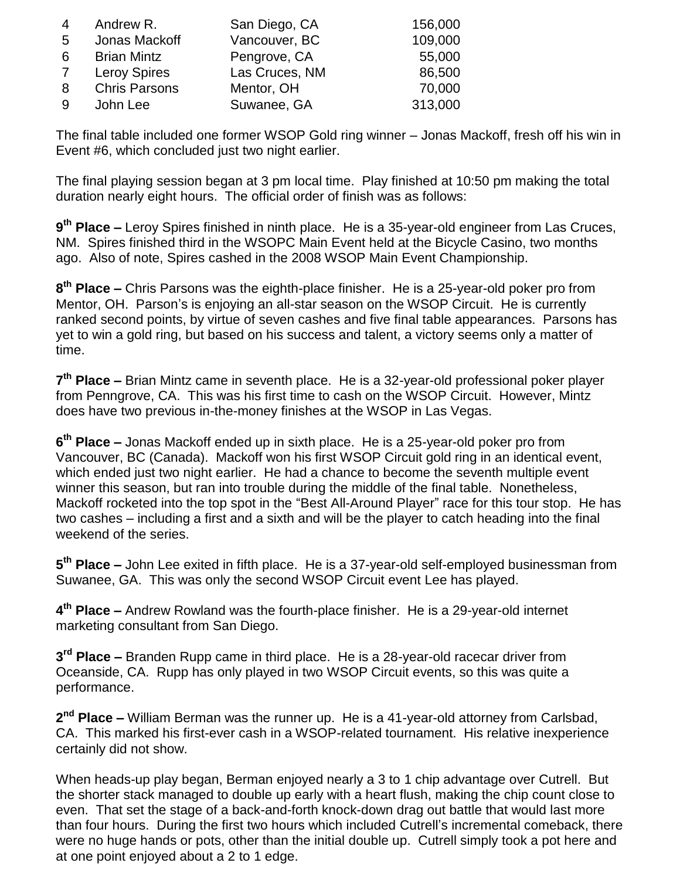| 4  | Andrew R.            | San Diego, CA  | 156,000 |
|----|----------------------|----------------|---------|
| -5 | Jonas Mackoff        | Vancouver, BC  | 109,000 |
| 6  | <b>Brian Mintz</b>   | Pengrove, CA   | 55,000  |
| 7  | <b>Leroy Spires</b>  | Las Cruces, NM | 86,500  |
| 8  | <b>Chris Parsons</b> | Mentor, OH     | 70,000  |
| -9 | John Lee             | Suwanee, GA    | 313,000 |

The final table included one former WSOP Gold ring winner – Jonas Mackoff, fresh off his win in Event #6, which concluded just two night earlier.

The final playing session began at 3 pm local time. Play finished at 10:50 pm making the total duration nearly eight hours. The official order of finish was as follows:

**9 th Place –** Leroy Spires finished in ninth place. He is a 35-year-old engineer from Las Cruces, NM. Spires finished third in the WSOPC Main Event held at the Bicycle Casino, two months ago. Also of note, Spires cashed in the 2008 WSOP Main Event Championship.

**8 th Place –** Chris Parsons was the eighth-place finisher. He is a 25-year-old poker pro from Mentor, OH. Parson's is enjoying an all-star season on the WSOP Circuit. He is currently ranked second points, by virtue of seven cashes and five final table appearances. Parsons has yet to win a gold ring, but based on his success and talent, a victory seems only a matter of time.

**7 th Place –** Brian Mintz came in seventh place. He is a 32-year-old professional poker player from Penngrove, CA. This was his first time to cash on the WSOP Circuit. However, Mintz does have two previous in-the-money finishes at the WSOP in Las Vegas.

**6 th Place –** Jonas Mackoff ended up in sixth place. He is a 25-year-old poker pro from Vancouver, BC (Canada). Mackoff won his first WSOP Circuit gold ring in an identical event, which ended just two night earlier. He had a chance to become the seventh multiple event winner this season, but ran into trouble during the middle of the final table. Nonetheless, Mackoff rocketed into the top spot in the "Best All-Around Player" race for this tour stop. He has two cashes – including a first and a sixth and will be the player to catch heading into the final weekend of the series.

**5 th Place –** John Lee exited in fifth place. He is a 37-year-old self-employed businessman from Suwanee, GA. This was only the second WSOP Circuit event Lee has played.

**4 th Place –** Andrew Rowland was the fourth-place finisher. He is a 29-year-old internet marketing consultant from San Diego.

**3 rd Place –** Branden Rupp came in third place. He is a 28-year-old racecar driver from Oceanside, CA. Rupp has only played in two WSOP Circuit events, so this was quite a performance.

**2 nd Place –** William Berman was the runner up. He is a 41-year-old attorney from Carlsbad, CA. This marked his first-ever cash in a WSOP-related tournament. His relative inexperience certainly did not show.

When heads-up play began, Berman enjoyed nearly a 3 to 1 chip advantage over Cutrell. But the shorter stack managed to double up early with a heart flush, making the chip count close to even. That set the stage of a back-and-forth knock-down drag out battle that would last more than four hours. During the first two hours which included Cutrell's incremental comeback, there were no huge hands or pots, other than the initial double up. Cutrell simply took a pot here and at one point enjoyed about a 2 to 1 edge.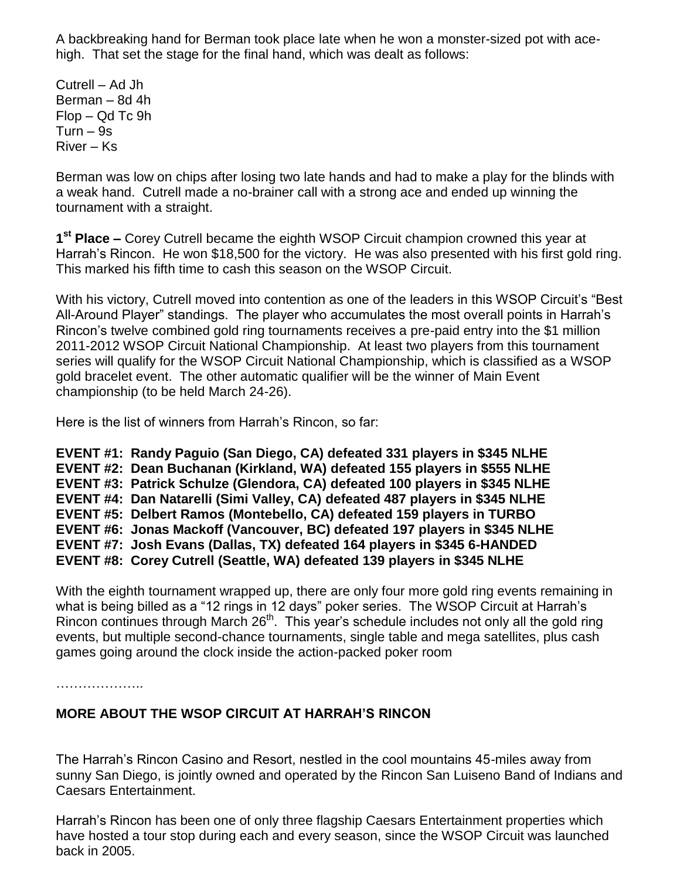A backbreaking hand for Berman took place late when he won a monster-sized pot with acehigh. That set the stage for the final hand, which was dealt as follows:

Cutrell – Ad Jh Berman – 8d 4h Flop – Qd Tc 9h Turn – 9s River – Ks

Berman was low on chips after losing two late hands and had to make a play for the blinds with a weak hand. Cutrell made a no-brainer call with a strong ace and ended up winning the tournament with a straight.

**1 st Place –** Corey Cutrell became the eighth WSOP Circuit champion crowned this year at Harrah's Rincon. He won \$18,500 for the victory. He was also presented with his first gold ring. This marked his fifth time to cash this season on the WSOP Circuit.

With his victory, Cutrell moved into contention as one of the leaders in this WSOP Circuit's "Best All-Around Player" standings. The player who accumulates the most overall points in Harrah's Rincon's twelve combined gold ring tournaments receives a pre-paid entry into the \$1 million 2011-2012 WSOP Circuit National Championship. At least two players from this tournament series will qualify for the WSOP Circuit National Championship, which is classified as a WSOP gold bracelet event. The other automatic qualifier will be the winner of Main Event championship (to be held March 24-26).

Here is the list of winners from Harrah's Rincon, so far:

**EVENT #1: Randy Paguio (San Diego, CA) defeated 331 players in \$345 NLHE EVENT #2: Dean Buchanan (Kirkland, WA) defeated 155 players in \$555 NLHE EVENT #3: Patrick Schulze (Glendora, CA) defeated 100 players in \$345 NLHE EVENT #4: Dan Natarelli (Simi Valley, CA) defeated 487 players in \$345 NLHE EVENT #5: Delbert Ramos (Montebello, CA) defeated 159 players in TURBO EVENT #6: Jonas Mackoff (Vancouver, BC) defeated 197 players in \$345 NLHE EVENT #7: Josh Evans (Dallas, TX) defeated 164 players in \$345 6-HANDED EVENT #8: Corey Cutrell (Seattle, WA) defeated 139 players in \$345 NLHE**

With the eighth tournament wrapped up, there are only four more gold ring events remaining in what is being billed as a "12 rings in 12 days" poker series. The WSOP Circuit at Harrah's Rincon continues through March 26<sup>th</sup>. This year's schedule includes not only all the gold ring events, but multiple second-chance tournaments, single table and mega satellites, plus cash games going around the clock inside the action-packed poker room

………………..

## **MORE ABOUT THE WSOP CIRCUIT AT HARRAH'S RINCON**

The Harrah's Rincon Casino and Resort, nestled in the cool mountains 45-miles away from sunny San Diego, is jointly owned and operated by the Rincon San Luiseno Band of Indians and Caesars Entertainment.

Harrah's Rincon has been one of only three flagship Caesars Entertainment properties which have hosted a tour stop during each and every season, since the WSOP Circuit was launched back in 2005.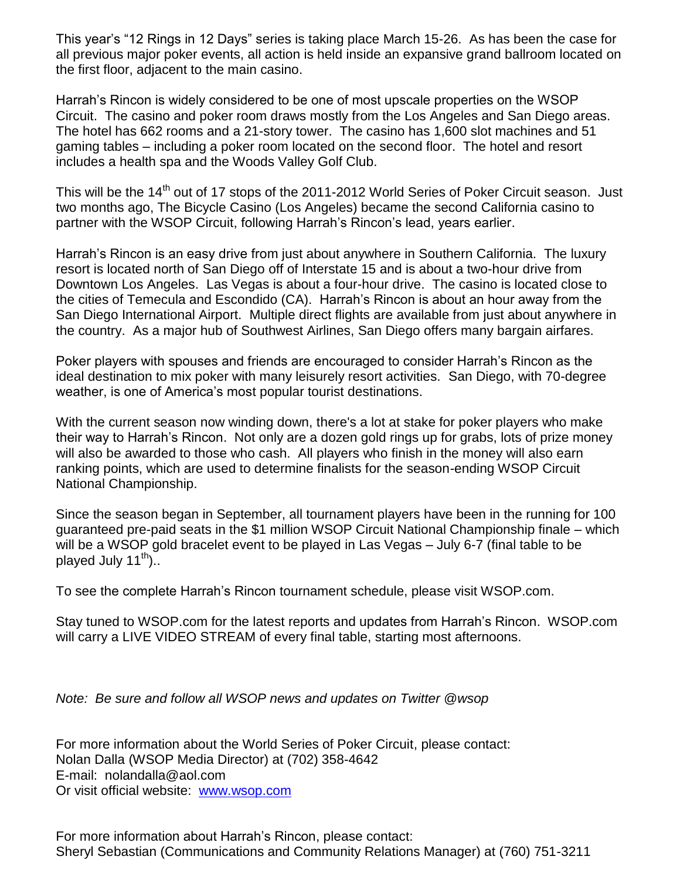This year's "12 Rings in 12 Days" series is taking place March 15-26. As has been the case for all previous major poker events, all action is held inside an expansive grand ballroom located on the first floor, adjacent to the main casino.

Harrah's Rincon is widely considered to be one of most upscale properties on the WSOP Circuit. The casino and poker room draws mostly from the Los Angeles and San Diego areas. The hotel has 662 rooms and a 21-story tower. The casino has 1,600 slot machines and 51 gaming tables – including a poker room located on the second floor. The hotel and resort includes a health spa and the Woods Valley Golf Club.

This will be the 14<sup>th</sup> out of 17 stops of the 2011-2012 World Series of Poker Circuit season. Just two months ago, The Bicycle Casino (Los Angeles) became the second California casino to partner with the WSOP Circuit, following Harrah's Rincon's lead, years earlier.

Harrah's Rincon is an easy drive from just about anywhere in Southern California. The luxury resort is located north of San Diego off of Interstate 15 and is about a two-hour drive from Downtown Los Angeles. Las Vegas is about a four-hour drive. The casino is located close to the cities of Temecula and Escondido (CA). Harrah's Rincon is about an hour away from the San Diego International Airport. Multiple direct flights are available from just about anywhere in the country. As a major hub of Southwest Airlines, San Diego offers many bargain airfares.

Poker players with spouses and friends are encouraged to consider Harrah's Rincon as the ideal destination to mix poker with many leisurely resort activities. San Diego, with 70-degree weather, is one of America's most popular tourist destinations.

With the current season now winding down, there's a lot at stake for poker players who make their way to Harrah's Rincon. Not only are a dozen gold rings up for grabs, lots of prize money will also be awarded to those who cash. All players who finish in the money will also earn ranking points, which are used to determine finalists for the season-ending WSOP Circuit National Championship.

Since the season began in September, all tournament players have been in the running for 100 guaranteed pre-paid seats in the \$1 million WSOP Circuit National Championship finale – which will be a WSOP gold bracelet event to be played in Las Vegas – July 6-7 (final table to be played July  $11^{th}$ )..

To see the complete Harrah's Rincon tournament schedule, please visit WSOP.com.

Stay tuned to WSOP.com for the latest reports and updates from Harrah's Rincon. WSOP.com will carry a LIVE VIDEO STREAM of every final table, starting most afternoons.

*Note: Be sure and follow all WSOP news and updates on Twitter @wsop*

For more information about the World Series of Poker Circuit, please contact: Nolan Dalla (WSOP Media Director) at (702) 358-4642 E-mail: nolandalla@aol.com Or visit official website: [www.wsop.com](http://www.wsop.com/)

For more information about Harrah's Rincon, please contact: Sheryl Sebastian (Communications and Community Relations Manager) at (760) 751-3211